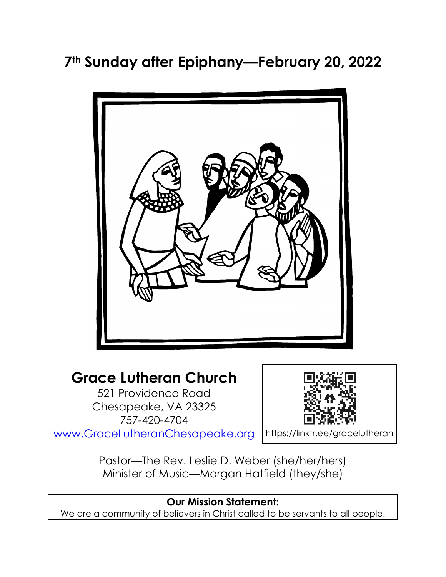# **7th Sunday after Epiphany—February 20, 2022**



# **Grace Lutheran Church**

521 Providence Road Chesapeake, VA 23325 757-420-4704 [www.GraceLutheranChesapeake.org](http://www.gracelutheranchesapeake.org/)



https://linktr.ee/gracelutheran

Pastor—The Rev. Leslie D. Weber (she/her/hers) Minister of Music—Morgan Hatfield (they/she)

#### **Our Mission Statement:** We are a community of believers in Christ called to be servants to all people.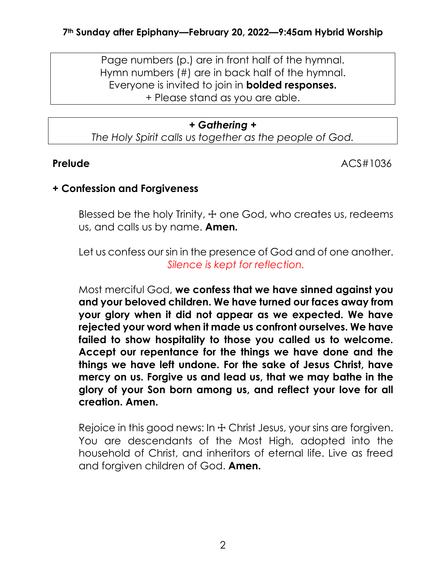Page numbers (p.) are in front half of the hymnal. Hymn numbers (#) are in back half of the hymnal. Everyone is invited to join in **bolded responses.** + Please stand as you are able.

### *+ Gathering +*

*The Holy Spirit calls us together as the people of God.*

**Prelude** ACS#1036

### **+ Confession and Forgiveness**

Blessed be the holy Trinity,  $\pm$  one God, who creates us, redeems us, and calls us by name. **Amen.**

Let us confess our sin in the presence of God and of one another. *Silence is kept for reflection.*

Most merciful God, **we confess that we have sinned against you and your beloved children. We have turned our faces away from your glory when it did not appear as we expected. We have rejected your word when it made us confront ourselves. We have failed to show hospitality to those you called us to welcome. Accept our repentance for the things we have done and the things we have left undone. For the sake of Jesus Christ, have mercy on us. Forgive us and lead us, that we may bathe in the glory of your Son born among us, and reflect your love for all creation. Amen.**

Rejoice in this good news: In  $+$  Christ Jesus, your sins are forgiven. You are descendants of the Most High, adopted into the household of Christ, and inheritors of eternal life. Live as freed and forgiven children of God. **Amen.**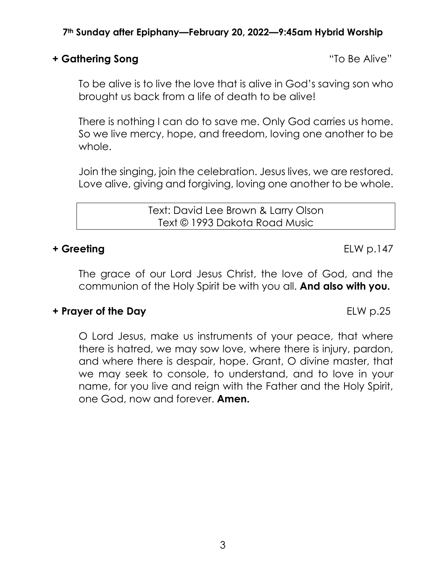#### **+ Gathering Song** "To Be Alive"

To be alive is to live the love that is alive in God's saving son who brought us back from a life of death to be alive!

There is nothing I can do to save me. Only God carries us home. So we live mercy, hope, and freedom, loving one another to be whole.

Join the singing, join the celebration. Jesus lives, we are restored. Love alive, giving and forgiving, loving one another to be whole.

> Text: David Lee Brown & Larry Olson Text © 1993 Dakota Road Music

#### **+ Greeting** ELW p.147

The grace of our Lord Jesus Christ, the love of God, and the communion of the Holy Spirit be with you all. **And also with you.**

### **+ Prayer of the Day ELW p.25**

O Lord Jesus, make us instruments of your peace, that where there is hatred, we may sow love, where there is injury, pardon, and where there is despair, hope. Grant, O divine master, that we may seek to console, to understand, and to love in your name, for you live and reign with the Father and the Holy Spirit, one God, now and forever. **Amen.**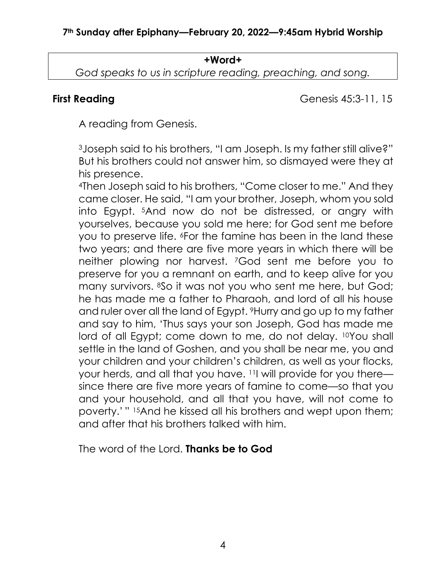#### **+Word+**

*God speaks to us in scripture reading, preaching, and song.*

**First Reading** Genesis 45:3-11, 15

A reading from Genesis.

<sup>3</sup>Joseph said to his brothers, "I am Joseph. Is my father still alive?" But his brothers could not answer him, so dismayed were they at his presence.

<sup>4</sup>Then Joseph said to his brothers, "Come closer to me." And they came closer. He said, "I am your brother, Joseph, whom you sold into Egypt. 5And now do not be distressed, or angry with yourselves, because you sold me here; for God sent me before you to preserve life. <sup>6</sup>For the famine has been in the land these two years; and there are five more years in which there will be neither plowing nor harvest. 7God sent me before you to preserve for you a remnant on earth, and to keep alive for you many survivors. 8So it was not you who sent me here, but God; he has made me a father to Pharaoh, and lord of all his house and ruler over all the land of Egypt. 9Hurry and go up to my father and say to him, 'Thus says your son Joseph, God has made me lord of all Egypt; come down to me, do not delay. 10You shall settle in the land of Goshen, and you shall be near me, you and your children and your children's children, as well as your flocks, your herds, and all that you have. 11I will provide for you there since there are five more years of famine to come—so that you and your household, and all that you have, will not come to poverty.' " <sup>15</sup>And he kissed all his brothers and wept upon them; and after that his brothers talked with him.

The word of the Lord. **Thanks be to God**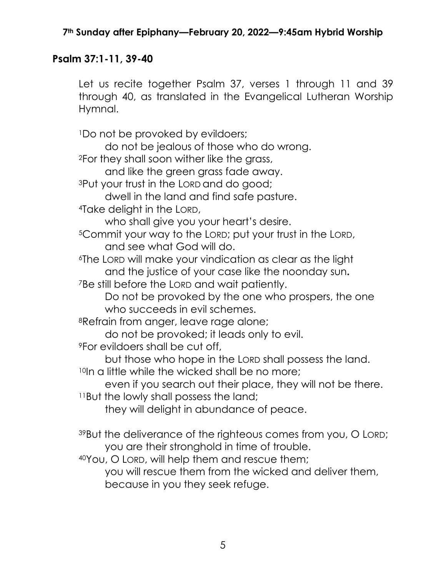# **Psalm 37:1-11, 39-40**

Let us recite together Psalm 37, verses 1 through 11 and 39 through 40, as translated in the Evangelical Lutheran Worship Hymnal.

<sup>1</sup>Do not be provoked by evildoers;

do not be jealous of those who do wrong.

<sup>2</sup>For they shall soon wither like the grass,

and like the green grass fade away.

<sup>3</sup>Put your trust in the LORD and do good;

dwell in the land and find safe pasture.

<sup>4</sup>Take delight in the LORD,

who shall give you your heart's desire.

<sup>5</sup>Commit your way to the LORD; put your trust in the LORD, and see what God will do.

<sup>6</sup>The LORD will make your vindication as clear as the light and the justice of your case like the noonday sun**.** <sup>7</sup>Be still before the LORD and wait patiently.

Do not be provoked by the one who prospers, the one who succeeds in evil schemes.

<sup>8</sup>Refrain from anger, leave rage alone;

do not be provoked; it leads only to evil.

<sup>9</sup>For evildoers shall be cut off,

but those who hope in the LORD shall possess the land. 10In a little while the wicked shall be no more;

even if you search out their place, they will not be there. <sup>11</sup>But the lowly shall possess the land;

they will delight in abundance of peace.

<sup>39</sup>But the deliverance of the righteous comes from you, O LORD; you are their stronghold in time of trouble.

<sup>40</sup>You, O LORD, will help them and rescue them;

you will rescue them from the wicked and deliver them, because in you they seek refuge.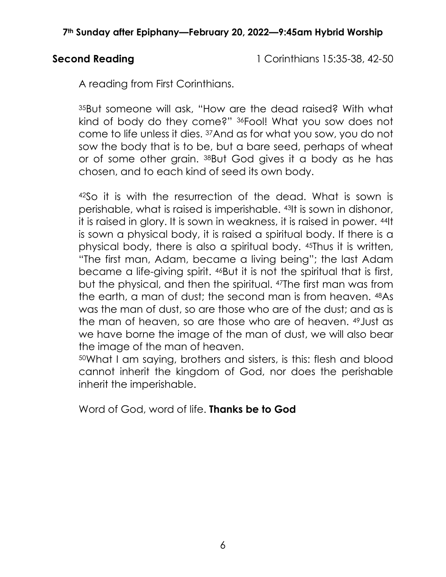**Second Reading 12:35-38, 42-50 Reading 15:35-38, 42-50** 

A reading from First Corinthians.

<sup>35</sup>But someone will ask, "How are the dead raised? With what kind of body do they come?" 36Fool! What you sow does not come to life unless it dies. 37And as for what you sow, you do not sow the body that is to be, but a bare seed, perhaps of wheat or of some other grain. 38But God gives it a body as he has chosen, and to each kind of seed its own body.

<sup>42</sup>So it is with the resurrection of the dead. What is sown is perishable, what is raised is imperishable. 43It is sown in dishonor, it is raised in glory. It is sown in weakness, it is raised in power. 44It is sown a physical body, it is raised a spiritual body. If there is a physical body, there is also a spiritual body. 45Thus it is written, "The first man, Adam, became a living being"; the last Adam became a life-giving spirit. 46But it is not the spiritual that is first, but the physical, and then the spiritual. 47The first man was from the earth, a man of dust; the second man is from heaven. 48As was the man of dust, so are those who are of the dust; and as is the man of heaven, so are those who are of heaven. 49Just as we have borne the image of the man of dust, we will also bear the image of the man of heaven.

<sup>50</sup>What I am saying, brothers and sisters, is this: flesh and blood cannot inherit the kingdom of God, nor does the perishable inherit the imperishable.

Word of God, word of life. **Thanks be to God**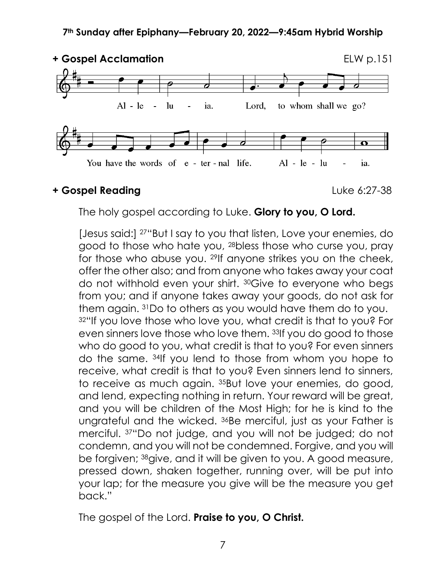

### **+ Gospel Reading** Luke 6:27-38

The holy gospel according to Luke. **Glory to you, O Lord.**

[Jesus said:] 27"But I say to you that listen, Love your enemies, do good to those who hate you, 28bless those who curse you, pray for those who abuse you. 29If anyone strikes you on the cheek, offer the other also; and from anyone who takes away your coat do not withhold even your shirt. 30Give to everyone who begs from you; and if anyone takes away your goods, do not ask for them again. 31Do to others as you would have them do to you. 32"If you love those who love you, what credit is that to you? For even sinners love those who love them. 33If you do good to those who do good to you, what credit is that to you? For even sinners do the same. 34If you lend to those from whom you hope to receive, what credit is that to you? Even sinners lend to sinners, to receive as much again. 35But love your enemies, do good, and lend, expecting nothing in return. Your reward will be great, and you will be children of the Most High; for he is kind to the ungrateful and the wicked. 36Be merciful, just as your Father is merciful. <sup>37</sup>"Do not judge, and you will not be judged; do not condemn, and you will not be condemned. Forgive, and you will be forgiven; 38give, and it will be given to you. A good measure, pressed down, shaken together, running over, will be put into your lap; for the measure you give will be the measure you get back."

The gospel of the Lord. **Praise to you, O Christ.**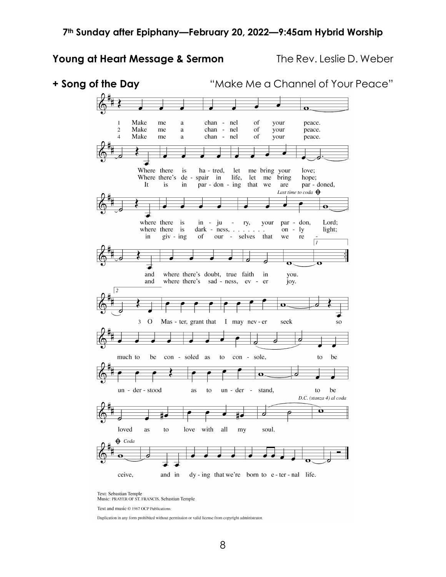#### **Young at Heart Message & Sermon** The Rev. Leslie D. Weber



Text: Sebastian Temple<br>Music: PRAYER OF ST. FRANCIS, Sebastian Temple

Text and music © 1967 OCP Publications

Duplication in any form prohibited without permission or valid license from copyright administrator.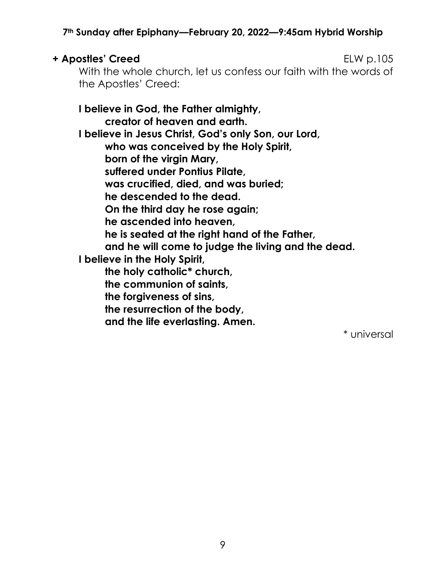#### **+ Apostles' Creed** ELW p.105

With the whole church, let us confess our faith with the words of the Apostles' Creed:

### **I believe in God, the Father almighty, creator of heaven and earth. I believe in Jesus Christ, God's only Son, our Lord, who was conceived by the Holy Spirit, born of the virgin Mary, suffered under Pontius Pilate, was crucified, died, and was buried; he descended to the dead. On the third day he rose again; he ascended into heaven, he is seated at the right hand of the Father, and he will come to judge the living and the dead. I believe in the Holy Spirit, the holy catholic\* church, the communion of saints, the forgiveness of sins, the resurrection of the body,**

**and the life everlasting. Amen.** 

\* universal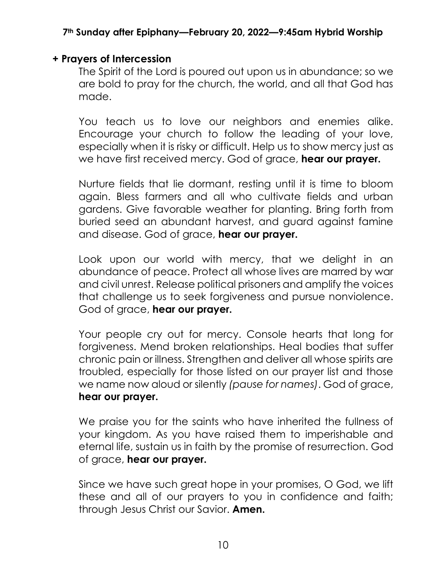### **+ Prayers of Intercession**

The Spirit of the Lord is poured out upon us in abundance; so we are bold to pray for the church, the world, and all that God has made.

You teach us to love our neighbors and enemies alike. Encourage your church to follow the leading of your love, especially when it is risky or difficult. Help us to show mercy just as we have first received mercy. God of grace, **hear our prayer.**

Nurture fields that lie dormant, resting until it is time to bloom again. Bless farmers and all who cultivate fields and urban gardens. Give favorable weather for planting. Bring forth from buried seed an abundant harvest, and guard against famine and disease. God of grace, **hear our prayer.**

Look upon our world with mercy, that we delight in an abundance of peace. Protect all whose lives are marred by war and civil unrest. Release political prisoners and amplify the voices that challenge us to seek forgiveness and pursue nonviolence. God of grace, **hear our prayer.**

Your people cry out for mercy. Console hearts that long for forgiveness. Mend broken relationships. Heal bodies that suffer chronic pain or illness. Strengthen and deliver all whose spirits are troubled, especially for those listed on our prayer list and those we name now aloud or silently *(pause for names)*. God of grace, **hear our prayer.**

We praise you for the saints who have inherited the fullness of your kingdom. As you have raised them to imperishable and eternal life, sustain us in faith by the promise of resurrection. God of grace, **hear our prayer.**

Since we have such great hope in your promises, O God, we lift these and all of our prayers to you in confidence and faith; through Jesus Christ our Savior. **Amen.**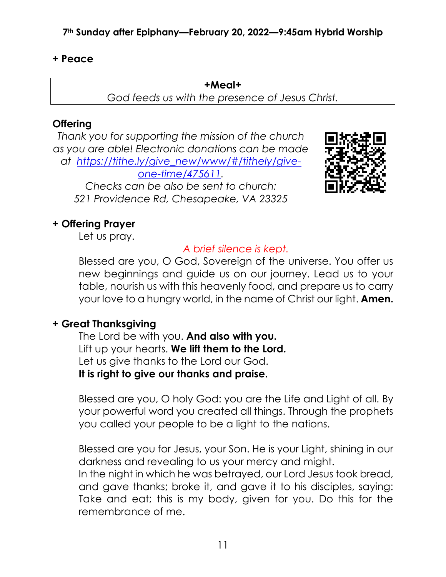#### **+ Peace**

#### **+Meal+**

*God feeds us with the presence of Jesus Christ.*

### **Offering**

*Thank you for supporting the mission of the church as you are able! Electronic donations can be made at [https://tithe.ly/give\\_new/www/#/tithely/give](https://tithe.ly/give_new/www/#/tithely/give-one-time/475611)[one-time/475611.](https://tithe.ly/give_new/www/#/tithely/give-one-time/475611)*

*Checks can be also be sent to church: 521 Providence Rd, Chesapeake, VA 23325*

# **+ Offering Prayer**

Let us pray.

## *A brief silence is kept.*

Blessed are you, O God, Sovereign of the universe. You offer us new beginnings and guide us on our journey. Lead us to your table, nourish us with this heavenly food, and prepare us to carry your love to a hungry world, in the name of Christ our light. **Amen.**

#### **+ Great Thanksgiving**

The Lord be with you. **And also with you.** Lift up your hearts. **We lift them to the Lord.** Let us give thanks to the Lord our God. **It is right to give our thanks and praise.**

Blessed are you, O holy God: you are the Life and Light of all. By your powerful word you created all things. Through the prophets you called your people to be a light to the nations.

Blessed are you for Jesus, your Son. He is your Light, shining in our darkness and revealing to us your mercy and might.

In the night in which he was betrayed, our Lord Jesus took bread, and gave thanks; broke it, and gave it to his disciples, saying: Take and eat; this is my body, given for you. Do this for the remembrance of me.

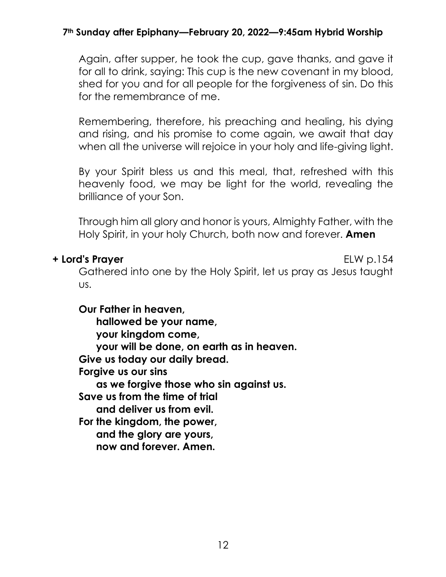Again, after supper, he took the cup, gave thanks, and gave it for all to drink, saying: This cup is the new covenant in my blood, shed for you and for all people for the forgiveness of sin. Do this for the remembrance of me.

Remembering, therefore, his preaching and healing, his dying and rising, and his promise to come again, we await that day when all the universe will rejoice in your holy and life-giving light.

By your Spirit bless us and this meal, that, refreshed with this heavenly food, we may be light for the world, revealing the brilliance of your Son.

Through him all glory and honor is yours, Almighty Father, with the Holy Spirit, in your holy Church, both now and forever. **Amen**

#### **+ Lord's Prayer** ELW p.154

Gathered into one by the Holy Spirit, let us pray as Jesus taught us.

**Our Father in heaven,**

**hallowed be your name, your kingdom come, your will be done, on earth as in heaven. Give us today our daily bread. Forgive us our sins as we forgive those who sin against us. Save us from the time of trial and deliver us from evil. For the kingdom, the power, and the glory are yours, now and forever. Amen.**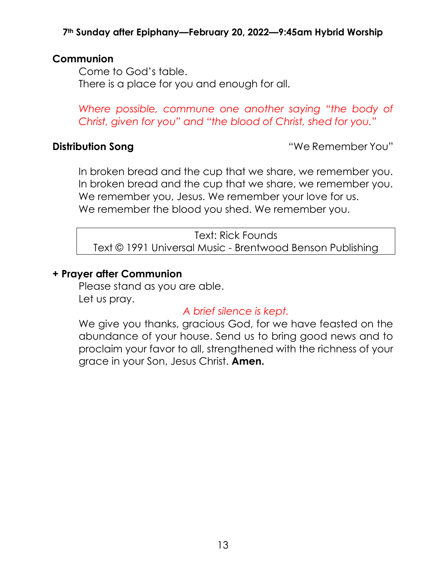#### **Communion**

Come to God's table. There is a place for you and enough for all.

*Where possible, commune one another saying "the body of Christ, given for you" and "the blood of Christ, shed for you."*

**Distribution Song Contract Contract Contract Contract Contract Contract Contract Contract Contract Contract Contract Contract Contract Contract Contract Contract Contract Contract Contract Contract Contract Contract Con** 

In broken bread and the cup that we share, we remember you. In broken bread and the cup that we share, we remember you. We remember you, Jesus. We remember your love for us. We remember the blood you shed. We remember you.

Text: Rick Founds Text © 1991 Universal Music - Brentwood Benson Publishing

#### **+ Prayer after Communion**

Please stand as you are able. Let us pray.

### *A brief silence is kept.*

We give you thanks, gracious God, for we have feasted on the abundance of your house. Send us to bring good news and to proclaim your favor to all, strengthened with the richness of your grace in your Son, Jesus Christ. **Amen.**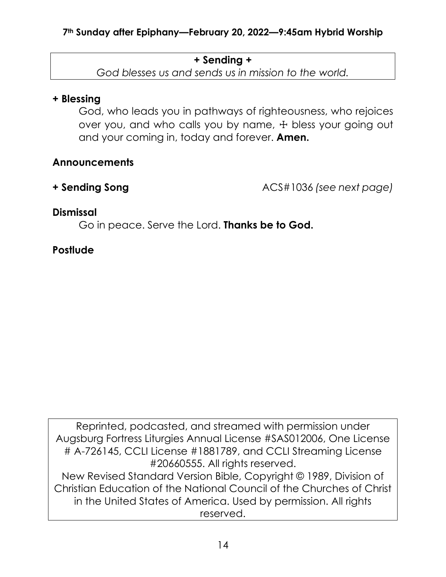### **+ Sending +**

*God blesses us and sends us in mission to the world.*

# **+ Blessing**

God, who leads you in pathways of righteousness, who rejoices over you, and who calls you by name,  $\pm$  bless your going out and your coming in, today and forever. **Amen.**

# **Announcements**

**+ Sending Song** ACS#1036 *(see next page)*

# **Dismissal**

Go in peace. Serve the Lord. **Thanks be to God.**

# **Postlude**

Reprinted, podcasted, and streamed with permission under Augsburg Fortress Liturgies Annual License #SAS012006, One License # A-726145, CCLI License #1881789, and CCLI Streaming License #20660555. All rights reserved. New Revised Standard Version Bible, Copyright © 1989, Division of Christian Education of the National Council of the Churches of Christ in the United States of America. Used by permission. All rights reserved.